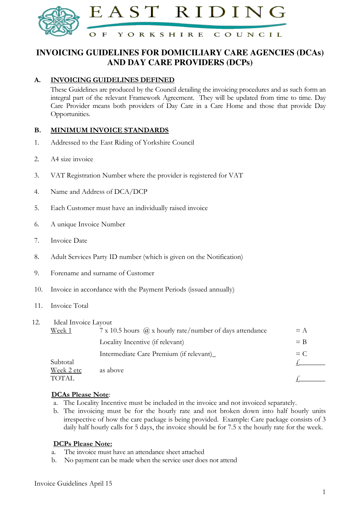

## **INVOICING GUIDELINES FOR DOMICILIARY CARE AGENCIES (DCAs) AND DAY CARE PROVIDERS (DCPs)**

#### A. INVOICING GUIDELINES DEFINED

These Guidelines are produced by the Council detailing the invoicing procedures and as such form an integral part of the relevant Framework Agreement. They will be updated from time to time. Day Care Provider means both providers of Day Care in a Care Home and those that provide Day Opportunities.

#### B. MINIMUM INVOICE STANDARDS

- 1. Addressed to the East Riding of Yorkshire Council
- 2. A4 size invoice
- 3. VAT Registration Number where the provider is registered for VAT
- 4. Name and Address of DCA/DCP
- 5. Each Customer must have an individually raised invoice
- 6. A unique Invoice Number
- 7. Invoice Date
- 8. Adult Services Party ID number (which is given on the Notification)
- 9. Forename and surname of Customer
- 10. Invoice in accordance with the Payment Periods (issued annually)
- 11. Invoice Total

| 12. | Ideal Invoice Layout |                                                                 |       |
|-----|----------------------|-----------------------------------------------------------------|-------|
|     | <u>Week 1</u>        | 7 x 10.5 hours $\omega$ x hourly rate/number of days attendance | $= A$ |
|     |                      | Locality Incentive (if relevant)                                | $=$ B |
|     |                      | Intermediate Care Premium (if relevant)                         | $= C$ |
|     | Subtotal             |                                                                 |       |
|     | Week 2 etc           | as above                                                        |       |
|     | TOTAL.               |                                                                 |       |

#### DCAs Please Note:

- a. The Locality Incentive must be included in the invoice and not invoiced separately.
- b. The invoicing must be for the hourly rate and not broken down into half hourly units irrespective of how the care package is being provided. Example: Care package consists of 3 daily half hourly calls for 5 days, the invoice should be for 7.5 x the hourly rate for the week.

#### DCPs Please Note:

- a. The invoice must have an attendance sheet attached
- b. No payment can be made when the service user does not attend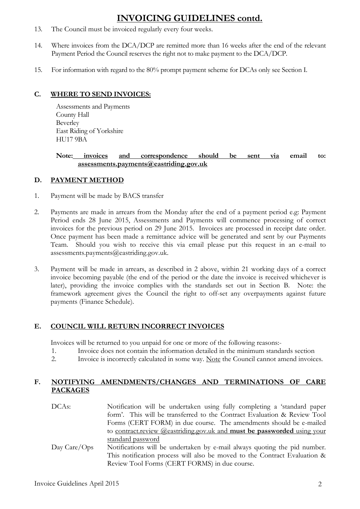# INVOICING GUIDELINES contd.

- 13. The Council must be invoiced regularly every four weeks.
- 14. Where invoices from the DCA/DCP are remitted more than 16 weeks after the end of the relevant Payment Period the Council reserves the right not to make payment to the DCA/DCP.
- 15. For information with regard to the 80% prompt payment scheme for DCAs only see Section I.

#### C. WHERE TO SEND INVOICES:

Assessments and Payments County Hall Beverley East Riding of Yorkshire HU17 9BA

#### Note: invoices and correspondence should be sent via email to: assessments.payments@eastriding.gov.uk

#### D. PAYMENT METHOD

- 1. Payment will be made by BACS transfer
- 2. Payments are made in arrears from the Monday after the end of a payment period e.g: Payment Period ends 28 June 2015, Assessments and Payments will commence processing of correct invoices for the previous period on 29 June 2015. Invoices are processed in receipt date order. Once payment has been made a remittance advice will be generated and sent by our Payments Team. Should you wish to receive this via email please put this request in an e-mail to assessments.payments@eastriding.gov.uk.
- 3. Payment will be made in arrears, as described in 2 above, within 21 working days of a correct invoice becoming payable (the end of the period or the date the invoice is received whichever is later), providing the invoice complies with the standards set out in Section B. Note: the framework agreement gives the Council the right to off-set any overpayments against future payments (Finance Schedule).

### E. COUNCIL WILL RETURN INCORRECT INVOICES

Invoices will be returned to you unpaid for one or more of the following reasons:-

- 1. Invoice does not contain the information detailed in the minimum standards section
- 2. Invoice is incorrectly calculated in some way. Note the Council cannot amend invoices.

#### F. NOTIFYING AMENDMENTS/CHANGES AND TERMINATIONS OF CARE PACKAGES

DCAs: Notification will be undertaken using fully completing a 'standard paper form'. This will be transferred to the Contract Evaluation & Review Tool Forms (CERT FORM) in due course. The amendments should be e-mailed to contract.review @eastriding.gov.uk and must be passworded using your standard password Day Care/Ops Notifications will be undertaken by e-mail always quoting the pid number. This notification process will also be moved to the Contract Evaluation &

Review Tool Forms (CERT FORMS) in due course.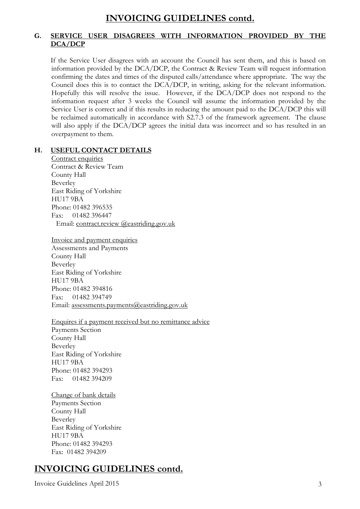## INVOICING GUIDELINES contd.

### G. SERVICE USER DISAGREES WITH INFORMATION PROVIDED BY THE DCA/DCP

If the Service User disagrees with an account the Council has sent them, and this is based on information provided by the DCA/DCP, the Contract & Review Team will request information confirming the dates and times of the disputed calls/attendance where appropriate. The way the Council does this is to contact the DCA/DCP, in writing, asking for the relevant information. Hopefully this will resolve the issue. However, if the DCA/DCP does not respond to the information request after 3 weeks the Council will assume the information provided by the Service User is correct and if this results in reducing the amount paid to the DCA/DCP this will be reclaimed automatically in accordance with S2.7.3 of the framework agreement. The clause will also apply if the DCA/DCP agrees the initial data was incorrect and so has resulted in an overpayment to them.

#### H. USEFUL CONTACT DETAILS

Contract enquiries Contract & Review Team County Hall Beverley East Riding of Yorkshire HU17 9BA Phone: 01482 396535 Fax: 01482 396447 Email: contract.review @eastriding.gov.uk

Invoice and payment enquiries Assessments and Payments County Hall Beverley East Riding of Yorkshire HU17 9BA Phone: 01482 394816 Fax: 01482 394749 Email: assessments.payments@eastriding.gov.uk

Enquires if a payment received but no remittance advice

Payments Section County Hall Beverley East Riding of Yorkshire HU17 9BA Phone: 01482 394293 Fax: 01482 394209

Change of bank details Payments Section County Hall Beverley East Riding of Yorkshire HU17 9BA Phone: 01482 394293 Fax: 01482 394209

# INVOICING GUIDELINES contd.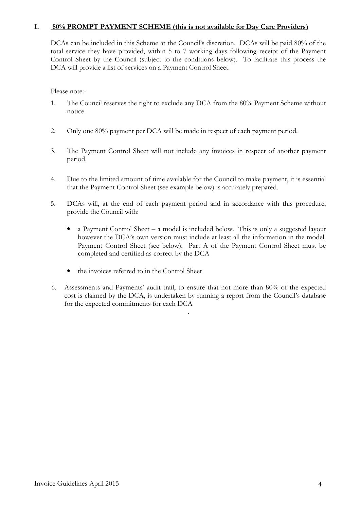#### I. 80% PROMPT PAYMENT SCHEME (this is not available for Day Care Providers)

DCAs can be included in this Scheme at the Council's discretion. DCAs will be paid 80% of the total service they have provided, within 5 to 7 working days following receipt of the Payment Control Sheet by the Council (subject to the conditions below). To facilitate this process the DCA will provide a list of services on a Payment Control Sheet.

Please note:-

- 1. The Council reserves the right to exclude any DCA from the 80% Payment Scheme without notice.
- 2. Only one 80% payment per DCA will be made in respect of each payment period.
- 3. The Payment Control Sheet will not include any invoices in respect of another payment period.
- 4. Due to the limited amount of time available for the Council to make payment, it is essential that the Payment Control Sheet (see example below) is accurately prepared.
- 5. DCAs will, at the end of each payment period and in accordance with this procedure, provide the Council with:
	- a Payment Control Sheet a model is included below. This is only a suggested layout however the DCA's own version must include at least all the information in the model. Payment Control Sheet (see below). Part A of the Payment Control Sheet must be completed and certified as correct by the DCA
	- the invoices referred to in the Control Sheet
- 6. Assessments and Payments' audit trail, to ensure that not more than 80% of the expected cost is claimed by the DCA, is undertaken by running a report from the Council's database for the expected commitments for each DCA

.